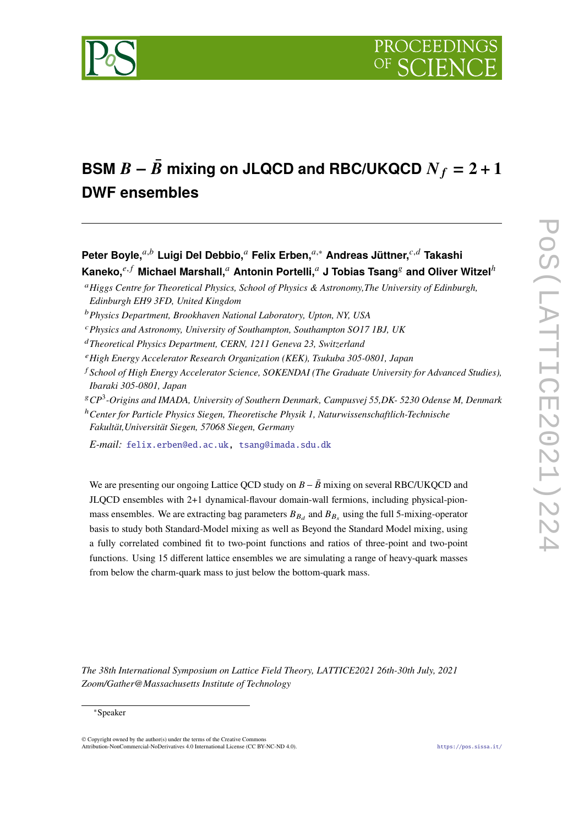

# **BSM**  $B - \bar{B}$  mixing on JLQCD and RBC/UKQCD  $N_f = 2 + 1$ **DWF ensembles**

**Peter Boyle,**<sup>*a,b*</sup> Luigi Del Debbio,<sup>*a*</sup> Felix Erben,<sup>*a*,∗</sup> Andreas Jüttner,<sup>*c,d*</sup> Takashi</sub> **Kaneko.**<sup>e, f</sup> Michael Marshall,<sup>a</sup> Antonin Portelli,<sup>a</sup> J Tobias Tsang<sup>g</sup> and Oliver Witzel<sup>h</sup>

*Physics and Astronomy, University of Southampton, Southampton SO17 1BJ, UK*

*Theoretical Physics Department, CERN, 1211 Geneva 23, Switzerland*

- *High Energy Accelerator Research Organization (KEK), Tsukuba 305-0801, Japan*
- *School of High Energy Accelerator Science, SOKENDAI (The Graduate University for Advanced Studies), Ibaraki 305-0801, Japan*
- *CP*<sup>3</sup> *-Origins and IMADA, University of Southern Denmark, Campusvej 55,DK- 5230 Odense M, Denmark*

<sup>ℎ</sup>*Center for Particle Physics Siegen, Theoretische Physik 1, Naturwissenschaftlich-Technische Fakultät,Universität Siegen, 57068 Siegen, Germany*

*E-mail:* [felix.erben@ed.ac.uk,](mailto:felix.erben@ed.ac.uk) [tsang@imada.sdu.dk](mailto:tsang@imada.sdu.dk)

We are presenting our ongoing Lattice QCD study on  $B - \bar{B}$  mixing on several RBC/UKQCD and JLQCD ensembles with 2+1 dynamical-flavour domain-wall fermions, including physical-pionmass ensembles. We are extracting bag parameters  $B_{B_d}$  and  $B_{B_s}$  using the full 5-mixing-operator basis to study both Standard-Model mixing as well as Beyond the Standard Model mixing, using a fully correlated combined fit to two-point functions and ratios of three-point and two-point functions. Using 15 different lattice ensembles we are simulating a range of heavy-quark masses from below the charm-quark mass to just below the bottom-quark mass.

*The 38th International Symposium on Lattice Field Theory, LATTICE2021 26th-30th July, 2021 Zoom/Gather@Massachusetts Institute of Technology*

 $\odot$  Copyright owned by the author(s) under the terms of the Creative Common Attribution-NonCommercial-NoDerivatives 4.0 International License (CC BY-NC-ND 4.0). <https://pos.sissa.it/>

*Higgs Centre for Theoretical Physics, School of Physics & Astronomy,The University of Edinburgh, Edinburgh EH9 3FD, United Kingdom*

*Physics Department, Brookhaven National Laboratory, Upton, NY, USA*

<sup>∗</sup>Speaker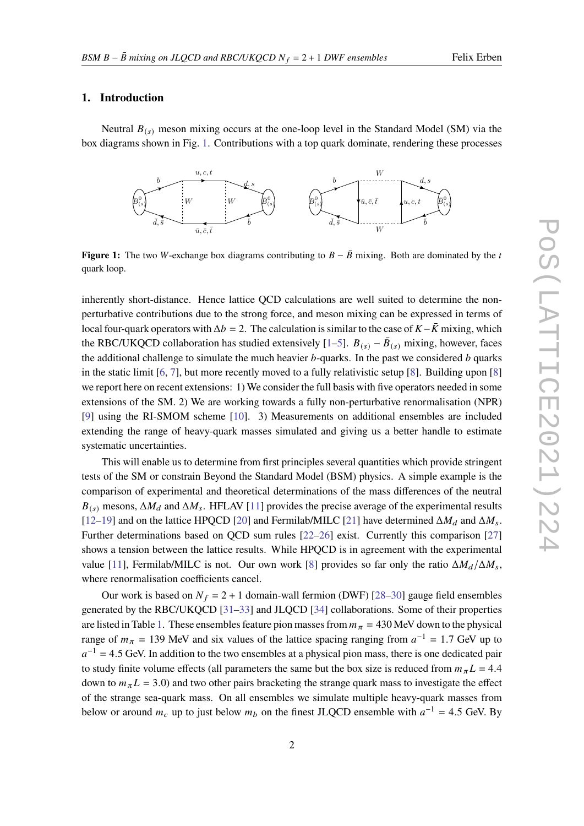#### **1. Introduction**

<span id="page-1-0"></span>Neutral  $B_{(s)}$  meson mixing occurs at the one-loop level in the Standard Model (SM) via the box diagrams shown in Fig. [1.](#page-1-0) Contributions with a top quark dominate, rendering these processes



**Figure 1:** The two W-exchange box diagrams contributing to  $B - \bar{B}$  mixing. Both are dominated by the t quark loop.

inherently short-distance. Hence lattice QCD calculations are well suited to determine the nonperturbative contributions due to the strong force, and meson mixing can be expressed in terms of local four-quark operators with  $\Delta b = 2$ . The calculation is similar to the case of  $K - \bar{K}$  mixing, which the RBC/UKQCD collaboration has studied extensively [\[1](#page-8-0)[–5\]](#page-8-1).  $B_{(s)} - \bar{B}_{(s)}$  mixing, however, faces the additional challenge to simulate the much heavier  $b$ -quarks. In the past we considered  $b$  quarks in the static limit  $[6, 7]$  $[6, 7]$  $[6, 7]$ , but more recently moved to a fully relativistic setup  $[8]$ . Building upon  $[8]$ we report here on recent extensions: 1) We consider the full basis with five operators needed in some extensions of the SM. 2) We are working towards a fully non-perturbative renormalisation (NPR) [\[9\]](#page-8-5) using the RI-SMOM scheme [\[10\]](#page-8-6). 3) Measurements on additional ensembles are included extending the range of heavy-quark masses simulated and giving us a better handle to estimate systematic uncertainties.

This will enable us to determine from first principles several quantities which provide stringent tests of the SM or constrain Beyond the Standard Model (BSM) physics. A simple example is the comparison of experimental and theoretical determinations of the mass differences of the neutral  $B_{(s)}$  mesons,  $\Delta M_d$  and  $\Delta M_s$ . HFLAV [\[11\]](#page-8-7) provides the precise average of the experimental results [\[12](#page-8-8)[–19\]](#page-9-0) and on the lattice HPQCD [\[20\]](#page-9-1) and Fermilab/MILC [\[21\]](#page-9-2) have determined  $\Delta M_d$  and  $\Delta M_s$ . Further determinations based on QCD sum rules [\[22–](#page-9-3)[26\]](#page-9-4) exist. Currently this comparison [\[27\]](#page-9-5) shows a tension between the lattice results. While HPQCD is in agreement with the experimental value [\[11\]](#page-8-7), Fermilab/MILC is not. Our own work [\[8\]](#page-8-4) provides so far only the ratio  $\Delta M_d/\Delta M_s$ , where renormalisation coefficients cancel.

Our work is based on  $N_f = 2 + 1$  domain-wall fermion (DWF) [\[28](#page-9-6)[–30\]](#page-9-7) gauge field ensembles generated by the RBC/UKQCD [\[31–](#page-9-8)[33\]](#page-9-9) and JLQCD [\[34\]](#page-9-10) collaborations. Some of their properties are listed in Table [1.](#page-2-0) These ensembles feature pion masses from  $m_{\pi} = 430$  MeV down to the physical range of  $m_{\pi} = 139$  MeV and six values of the lattice spacing ranging from  $a^{-1} = 1.7$  GeV up to  $a^{-1}$  = 4.5 GeV. In addition to the two ensembles at a physical pion mass, there is one dedicated pair to study finite volume effects (all parameters the same but the box size is reduced from  $m_{\pi}L = 4.4$ down to  $m_{\pi}L = 3.0$ ) and two other pairs bracketing the strange quark mass to investigate the effect of the strange sea-quark mass. On all ensembles we simulate multiple heavy-quark masses from below or around  $m_c$  up to just below  $m_b$  on the finest JLQCD ensemble with  $a^{-1} = 4.5$  GeV. By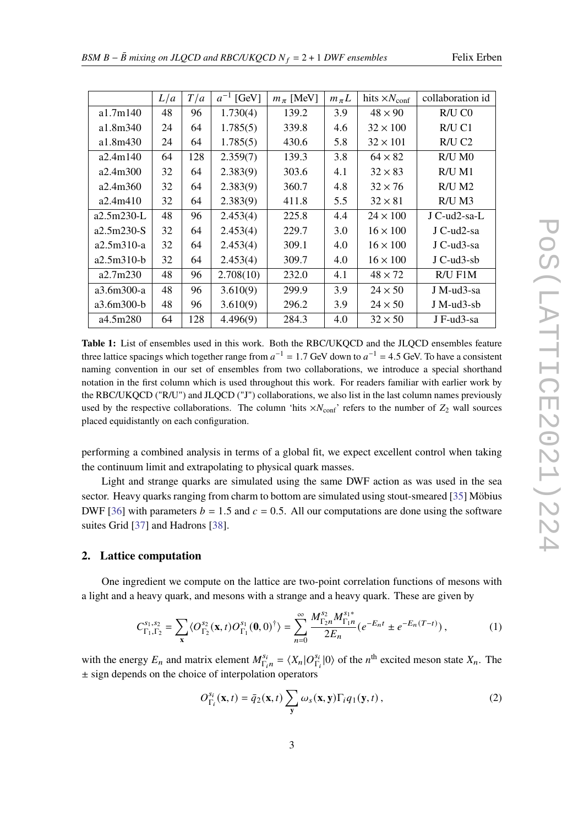<span id="page-2-0"></span>

|              | L/a | T/a | $a^{-1}$ [GeV] | $m_\pi$ [MeV] | $m_{\pi}L$ | hits $\times N_{\text{conf}}$ | collaboration id     |
|--------------|-----|-----|----------------|---------------|------------|-------------------------------|----------------------|
| a1.7m140     | 48  | 96  | 1.730(4)       | 139.2         | 3.9        | $48 \times 90$                | $R/U$ $C0$           |
| a1.8m340     | 24  | 64  | 1.785(5)       | 339.8         | 4.6        | $32 \times 100$               | R/U C1               |
| a1.8m430     | 24  | 64  | 1.785(5)       | 430.6         | 5.8        | $32 \times 101$               | $R/U$ C <sub>2</sub> |
| a2.4m140     | 64  | 128 | 2.359(7)       | 139.3         | 3.8        | $64 \times 82$                | $R/U$ M $0$          |
| a2.4m300     | 32  | 64  | 2.383(9)       | 303.6         | 4.1        | $32 \times 83$                | $R/U$ M1             |
| a2.4m360     | 32  | 64  | 2.383(9)       | 360.7         | 4.8        | $32 \times 76$                | $R/U$ M2             |
| a2.4m410     | 32  | 64  | 2.383(9)       | 411.8         | 5.5        | $32 \times 81$                | $R/U$ M3             |
| a2.5m230-L   | 48  | 96  | 2.453(4)       | 225.8         | 4.4        | $24 \times 100$               | J C-ud2-sa-L         |
| $a2.5m230-S$ | 32  | 64  | 2.453(4)       | 229.7         | 3.0        | $16 \times 100$               | J C-ud2-sa           |
| $a2.5m310-a$ | 32  | 64  | 2.453(4)       | 309.1         | 4.0        | $16 \times 100$               | J C-ud3-sa           |
| $a2.5m310-b$ | 32  | 64  | 2.453(4)       | 309.7         | 4.0        | $16 \times 100$               | $J$ C-ud $3$ -sb     |
| a2.7m230     | 48  | 96  | 2.708(10)      | 232.0         | 4.1        | $48 \times 72$                | R/U F1M              |
| a3.6m300-a   | 48  | 96  | 3.610(9)       | 299.9         | 3.9        | $24 \times 50$                | J M-ud3-sa           |
| a3.6m300-b   | 48  | 96  | 3.610(9)       | 296.2         | 3.9        | $24 \times 50$                | $J$ M-ud3-sb         |
| a4.5m280     | 64  | 128 | 4.496(9)       | 284.3         | 4.0        | $32 \times 50$                | J F-ud3-sa           |

**Table 1:** List of ensembles used in this work. Both the RBC/UKQCD and the JLQCD ensembles feature three lattice spacings which together range from  $a^{-1} = 1.7$  GeV down to  $a^{-1} = 4.5$  GeV. To have a consistent naming convention in our set of ensembles from two collaborations, we introduce a special shorthand notation in the first column which is used throughout this work. For readers familiar with earlier work by the RBC/UKQCD ("R/U") and JLQCD ("J") collaborations, we also list in the last column names previously used by the respective collaborations. The column 'hits  $\times N_{\text{conf}}$ ' refers to the number of  $Z_2$  wall sources placed equidistantly on each configuration.

performing a combined analysis in terms of a global fit, we expect excellent control when taking the continuum limit and extrapolating to physical quark masses.

Light and strange quarks are simulated using the same DWF action as was used in the sea sector. Heavy quarks ranging from charm to bottom are simulated using stout-smeared [\[35\]](#page-9-11) Möbius DWF [\[36\]](#page-9-12) with parameters  $b = 1.5$  and  $c = 0.5$ . All our computations are done using the software suites Grid [\[37\]](#page-9-13) and Hadrons [\[38\]](#page-9-14).

#### **2. Lattice computation**

One ingredient we compute on the lattice are two-point correlation functions of mesons with a light and a heavy quark, and mesons with a strange and a heavy quark. These are given by

$$
C_{\Gamma_1,\Gamma_2}^{s_1,s_2} = \sum_{\mathbf{x}} \langle O_{\Gamma_2}^{s_2}(\mathbf{x},t) O_{\Gamma_1}^{s_1}(\mathbf{0},0)^{\dagger} \rangle = \sum_{n=0}^{\infty} \frac{M_{\Gamma_2 n}^{s_2} M_{\Gamma_1 n}^{s_1*}}{2E_n} \left( e^{-E_n t} \pm e^{-E_n (T-t)} \right),\tag{1}
$$

with the energy  $E_n$  and matrix element  $M_{\Gamma_n}^{s_n}$  $T_{\Gamma_i n}^{s_i} = \langle X_n | O_{\Gamma_i}^{s_i} \rangle$  $\frac{s_i}{\Gamma_i}$  |0) of the *n*<sup>th</sup> excited meson state  $X_n$ . The ± sign depends on the choice of interpolation operators

$$
O_{\Gamma_i}^{s_i}(\mathbf{x},t) = \bar{q}_2(\mathbf{x},t) \sum_{\mathbf{y}} \omega_s(\mathbf{x},\mathbf{y}) \Gamma_i q_1(\mathbf{y},t), \qquad (2)
$$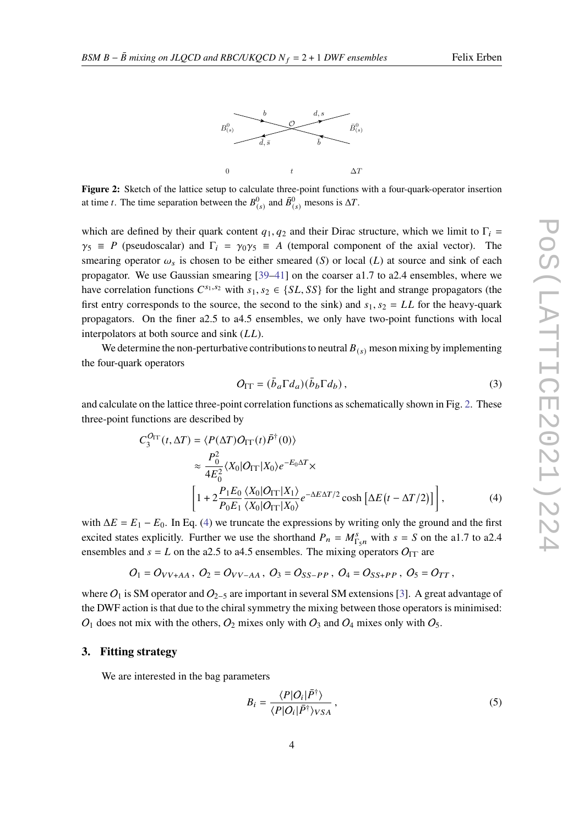



<span id="page-3-0"></span>**Figure 2:** Sketch of the lattice setup to calculate three-point functions with a four-quark-operator insertion at time *t*. The time separation between the  $B_{(s)}^0$  and  $\overline{B}_{(s)}^0$  mesons is  $\Delta T$ .

which are defined by their quark content  $q_1, q_2$  and their Dirac structure, which we limit to  $\Gamma_i$  $\gamma_5 \equiv P$  (pseudoscalar) and  $\Gamma_i = \gamma_0 \gamma_5 \equiv A$  (temporal component of the axial vector). The smearing operator  $\omega_s$  is chosen to be either smeared (S) or local (L) at source and sink of each propagator. We use Gaussian smearing  $[39-41]$  $[39-41]$  on the coarser a1.7 to a2.4 ensembles, where we have correlation functions  $C^{s_1,s_2}$  with  $s_1, s_2 \in \{SL, SS\}$  for the light and strange propagators (the first entry corresponds to the source, the second to the sink) and  $s_1$ ,  $s_2 = LL$  for the heavy-quark propagators. On the finer a2.5 to a4.5 ensembles, we only have two-point functions with local interpolators at both source and sink  $(LL)$ .

We determine the non-perturbative contributions to neutral  $B_{(s)}$  meson mixing by implementing the four-quark operators

<span id="page-3-1"></span>
$$
O_{\Gamma\Gamma} = (\bar{b}_a \Gamma d_a)(\bar{b}_b \Gamma d_b), \qquad (3)
$$

and calculate on the lattice three-point correlation functions as schematically shown in Fig. [2.](#page-3-0) These three-point functions are described by

$$
C_3^{O_{\text{IT}}}(t, \Delta T) = \langle P(\Delta T)O_{\text{IT}}(t)\bar{P}^{\dagger}(0)\rangle
$$
  
\n
$$
\approx \frac{P_0^2}{4E_0^2} \langle X_0 | O_{\text{IT}} | X_0 \rangle e^{-E_0 \Delta T} \times
$$
  
\n
$$
\left[1 + 2\frac{P_1 E_0}{P_0 E_1} \frac{\langle X_0 | O_{\text{IT}} | X_1 \rangle}{\langle X_0 | O_{\text{IT}} | X_0 \rangle} e^{-\Delta E \Delta T/2} \cosh \left[\Delta E \left(t - \Delta T/2\right)\right]\right],
$$
 (4)

with  $\Delta E = E_1 - E_0$ . In Eq. [\(4\)](#page-3-1) we truncate the expressions by writing only the ground and the first excited states explicitly. Further we use the shorthand  $P_n = M_{\Gamma_5 n}^s$  with  $s = S$  on the a1.7 to a2.4 ensembles and  $s = L$  on the a2.5 to a4.5 ensembles. The mixing operators  $O_{\Gamma\Gamma}$  are

$$
O_1 = O_{VV+AA}
$$
,  $O_2 = O_{VV-AA}$ ,  $O_3 = O_{SS-PP}$ ,  $O_4 = O_{SS+PP}$ ,  $O_5 = O_{TT}$ ,

where  $O_1$  is SM operator and  $O_{2-5}$  are important in several SM extensions [\[3\]](#page-8-9). A great advantage of the DWF action is that due to the chiral symmetry the mixing between those operators is minimised:  $O_1$  does not mix with the others,  $O_2$  mixes only with  $O_3$  and  $O_4$  mixes only with  $O_5$ .

## **3. Fitting strategy**

We are interested in the bag parameters

$$
B_i = \frac{\langle P|O_i|\bar{P}^{\dagger}\rangle}{\langle P|O_i|\bar{P}^{\dagger}\rangle_{VSA}},
$$
\n(5)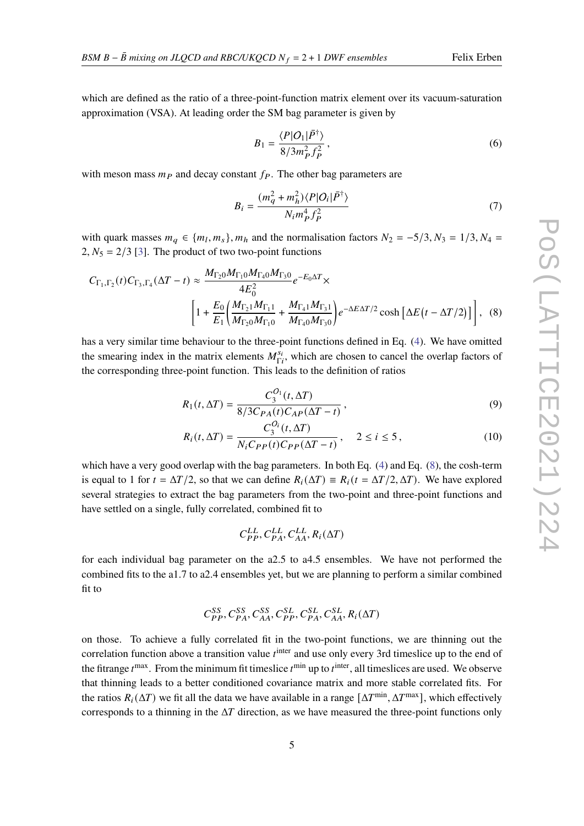which are defined as the ratio of a three-point-function matrix element over its vacuum-saturation approximation (VSA). At leading order the SM bag parameter is given by

$$
B_1 = \frac{\langle P|O_1|\bar{P}^{\dagger}\rangle}{8/3m_P^2 f_P^2},\tag{6}
$$

with meson mass  $m<sub>P</sub>$  and decay constant  $f<sub>P</sub>$ . The other bag parameters are

<span id="page-4-0"></span>
$$
B_i = \frac{(m_q^2 + m_h^2) \langle P | O_i | \bar{P}^\dagger \rangle}{N_i m_P^4 f_P^2}
$$
\n<sup>(7)</sup>

with quark masses  $m_q \in \{m_l, m_s\}$ ,  $m_h$  and the normalisation factors  $N_2 = -\frac{5}{3}$ ,  $N_3 = \frac{1}{3}$ ,  $N_4 =$ 2,  $N_5 = 2/3$  [\[3\]](#page-8-9). The product of two two-point functions

$$
C_{\Gamma_1,\Gamma_2}(t)C_{\Gamma_3,\Gamma_4}(\Delta T - t) \approx \frac{M_{\Gamma_2 0}M_{\Gamma_1 0}M_{\Gamma_4 0}M_{\Gamma_3 0}}{4E_0^2}e^{-E_0\Delta T} \times \left[1 + \frac{E_0}{E_1} \left(\frac{M_{\Gamma_2 1}M_{\Gamma_1 1}}{M_{\Gamma_2 0}M_{\Gamma_1 0}} + \frac{M_{\Gamma_4 1}M_{\Gamma_3 1}}{M_{\Gamma_4 0}M_{\Gamma_3 0}}\right)e^{-\Delta E\Delta T/2}\cosh\left[\Delta E\left(t - \Delta T/2\right)\right]\right], \quad (8)
$$

has a very similar time behaviour to the three-point functions defined in Eq. [\(4\)](#page-3-1). We have omitted the smearing index in the matrix elements  $M_{\rm E}^{s_{\rm E}}$  $S_i$ , which are chosen to cancel the overlap factors of the corresponding three-point function. This leads to the definition of ratios

$$
R_1(t, \Delta T) = \frac{C_3^{O_1}(t, \Delta T)}{8/3C_{PA}(t)C_{AP}(\Delta T - t)},
$$
\n(9)

$$
R_i(t, \Delta T) = \frac{C_3^{O_i}(t, \Delta T)}{N_i C_{PP}(t) C_{PP}(\Delta T - t)}, \quad 2 \le i \le 5,
$$
 (10)

which have a very good overlap with the bag parameters. In both Eq. [\(4\)](#page-3-1) and Eq. [\(8\)](#page-4-0), the cosh-term is equal to 1 for  $t = \Delta T/2$ , so that we can define  $R_i(\Delta T) \equiv R_i(t = \Delta T/2, \Delta T)$ . We have explored several strategies to extract the bag parameters from the two-point and three-point functions and have settled on a single, fully correlated, combined fit to

 $C_{PP}^{LL}, C_{PA}^{LL}, C_{AA}^{LL}, R_i(\Delta T)$ 

for each individual bag parameter on the a2.5 to a4.5 ensembles. We have not performed the combined fits to the a1.7 to a2.4 ensembles yet, but we are planning to perform a similar combined fit to

$$
C^{SS}_{PP}, C^{SS}_{PA}, C^{SS}_{AA}, C^{SL}_{PP}, C^{SL}_{PA}, C^{SL}_{AA}, R_i(\Delta T)
$$

on those. To achieve a fully correlated fit in the two-point functions, we are thinning out the correlation function above a transition value  $t^{\text{inter}}$  and use only every 3rd timeslice up to the end of the fitrange  $t^{max}$ . From the minimum fit timeslice  $t^{min}$  up to  $t^{inter}$ , all timeslices are used. We observe that thinning leads to a better conditioned covariance matrix and more stable correlated fits. For the ratios  $R_i(\Delta T)$  we fit all the data we have available in a range  $[\Delta T^{\min}, \Delta T^{\max}]$ , which effectively corresponds to a thinning in the  $\Delta T$  direction, as we have measured the three-point functions only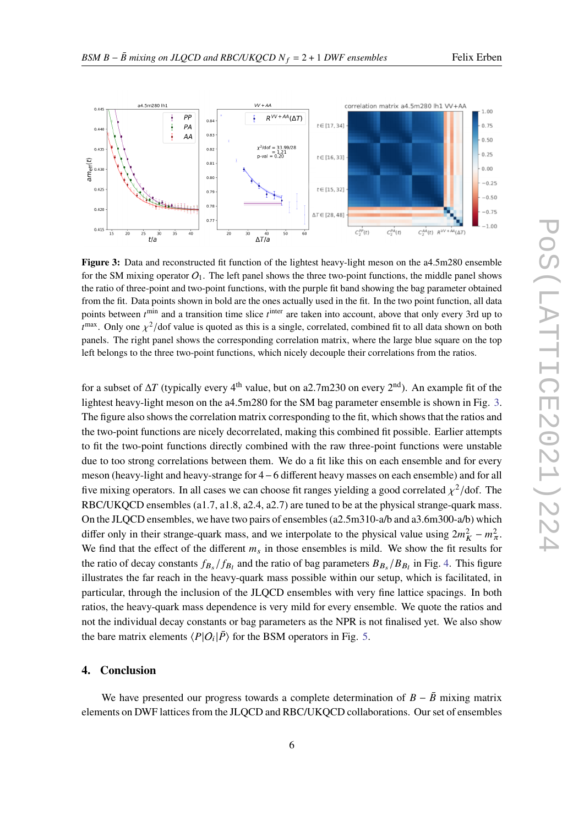<span id="page-5-0"></span>

Figure 3: Data and reconstructed fit function of the lightest heavy-light meson on the a4.5m280 ensemble for the SM mixing operator  $Q_1$ . The left panel shows the three two-point functions, the middle panel shows the ratio of three-point and two-point functions, with the purple fit band showing the bag parameter obtained from the fit. Data points shown in bold are the ones actually used in the fit. In the two point function, all data points between  $t^{\min}$  and a transition time slice  $t^{\text{inter}}$  are taken into account, above that only every 3rd up to  $t^{\text{max}}$ . Only one  $\chi^2$ /dof value is quoted as this is a single, correlated, combined fit to all data shown on both panels. The right panel shows the corresponding correlation matrix, where the large blue square on the top left belongs to the three two-point functions, which nicely decouple their correlations from the ratios.

for a subset of  $\Delta T$  (typically every 4<sup>th</sup> value, but on a2.7m230 on every 2<sup>nd</sup>). An example fit of the lightest heavy-light meson on the a4.5m280 for the SM bag parameter ensemble is shown in Fig. [3.](#page-5-0) The figure also shows the correlation matrix corresponding to the fit, which shows that the ratios and the two-point functions are nicely decorrelated, making this combined fit possible. Earlier attempts to fit the two-point functions directly combined with the raw three-point functions were unstable due to too strong correlations between them. We do a fit like this on each ensemble and for every meson (heavy-light and heavy-strange for 4−6 different heavy masses on each ensemble) and for all five mixing operators. In all cases we can choose fit ranges yielding a good correlated  $\chi^2$ /dof. The RBC/UKQCD ensembles (a1.7, a1.8, a2.4, a2.7) are tuned to be at the physical strange-quark mass. On the JLQCD ensembles, we have two pairs of ensembles (a2.5m310-a/b and a3.6m300-a/b) which differ only in their strange-quark mass, and we interpolate to the physical value using  $2m_K^2 - m_{\pi}^2$ . We find that the effect of the different  $m<sub>s</sub>$  in those ensembles is mild. We show the fit results for the ratio of decay constants  $f_{B_s}/f_{B_l}$  and the ratio of bag parameters  $B_{B_s}/B_{B_l}$  in Fig. [4.](#page-6-0) This figure illustrates the far reach in the heavy-quark mass possible within our setup, which is facilitated, in particular, through the inclusion of the JLQCD ensembles with very fine lattice spacings. In both ratios, the heavy-quark mass dependence is very mild for every ensemble. We quote the ratios and not the individual decay constants or bag parameters as the NPR is not finalised yet. We also show the bare matrix elements  $\langle P|O_i|\overline{P}\rangle$  for the BSM operators in Fig. [5.](#page-7-0)

### **4. Conclusion**

We have presented our progress towards a complete determination of  $B - \bar{B}$  mixing matrix elements on DWF lattices from the JLQCD and RBC/UKQCD collaborations. Our set of ensembles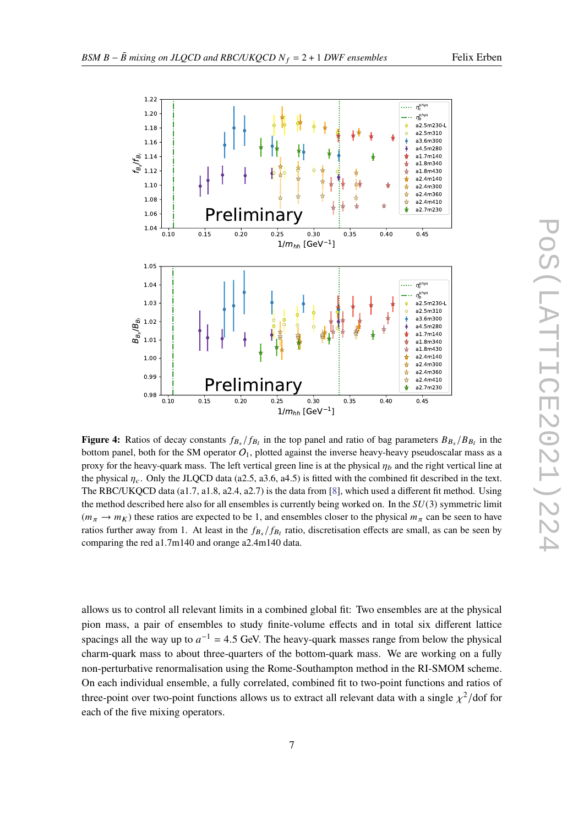<span id="page-6-0"></span>

**Figure 4:** Ratios of decay constants  $f_{B_s}/f_{B_l}$  in the top panel and ratio of bag parameters  $B_{B_s}/B_{B_l}$  in the bottom panel, both for the SM operator  $O_1$ , plotted against the inverse heavy-heavy pseudoscalar mass as a proxy for the heavy-quark mass. The left vertical green line is at the physical  $\eta_b$  and the right vertical line at the physical  $\eta_c$ . Only the JLQCD data (a2.5, a3.6, a4.5) is fitted with the combined fit described in the text. The RBC/UKQCD data (a1.7, a1.8, a2.4, a2.7) is the data from [\[8\]](#page-8-4), which used a different fit method. Using the method described here also for all ensembles is currently being worked on. In the  $SU(3)$  symmetric limit  $(m_\pi \to m_K)$  these ratios are expected to be 1, and ensembles closer to the physical  $m_\pi$  can be seen to have ratios further away from 1. At least in the  $f_{B_s}/f_{B_l}$  ratio, discretisation effects are small, as can be seen by comparing the red a1.7m140 and orange a2.4m140 data.

allows us to control all relevant limits in a combined global fit: Two ensembles are at the physical pion mass, a pair of ensembles to study finite-volume effects and in total six different lattice spacings all the way up to  $a^{-1} = 4.5$  GeV. The heavy-quark masses range from below the physical charm-quark mass to about three-quarters of the bottom-quark mass. We are working on a fully non-perturbative renormalisation using the Rome-Southampton method in the RI-SMOM scheme. On each individual ensemble, a fully correlated, combined fit to two-point functions and ratios of three-point over two-point functions allows us to extract all relevant data with a single  $\chi^2$ /dof for each of the five mixing operators.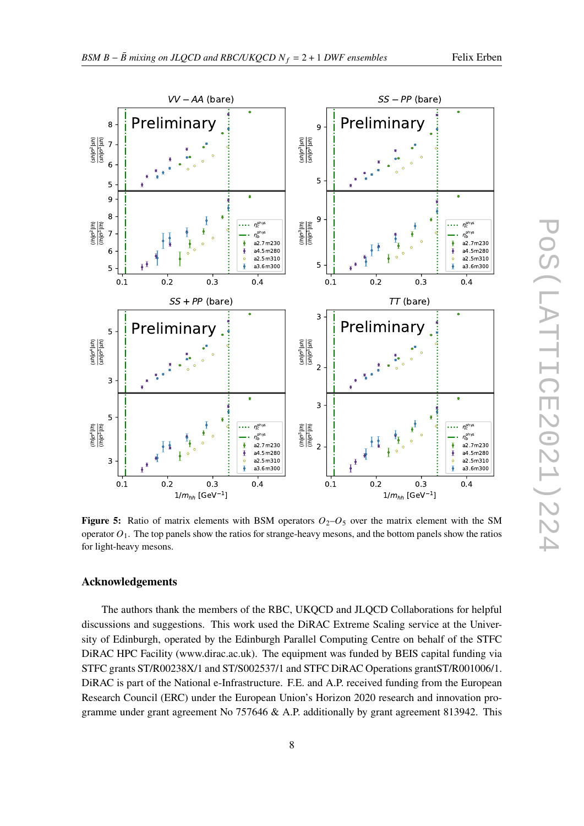<span id="page-7-0"></span>

**Figure 5:** Ratio of matrix elements with BSM operators  $O_2-O_5$  over the matrix element with the SM operator  $O_1$ . The top panels show the ratios for strange-heavy mesons, and the bottom panels show the ratios for light-heavy mesons.

### **Acknowledgements**

The authors thank the members of the RBC, UKQCD and JLQCD Collaborations for helpful discussions and suggestions. This work used the DiRAC Extreme Scaling service at the University of Edinburgh, operated by the Edinburgh Parallel Computing Centre on behalf of the STFC DiRAC HPC Facility (www.dirac.ac.uk). The equipment was funded by BEIS capital funding via STFC grants ST/R00238X/1 and ST/S002537/1 and STFC DiRAC Operations grantST/R001006/1. DiRAC is part of the National e-Infrastructure. F.E. and A.P. received funding from the European Research Council (ERC) under the European Union's Horizon 2020 research and innovation programme under grant agreement No 757646 & A.P. additionally by grant agreement 813942. This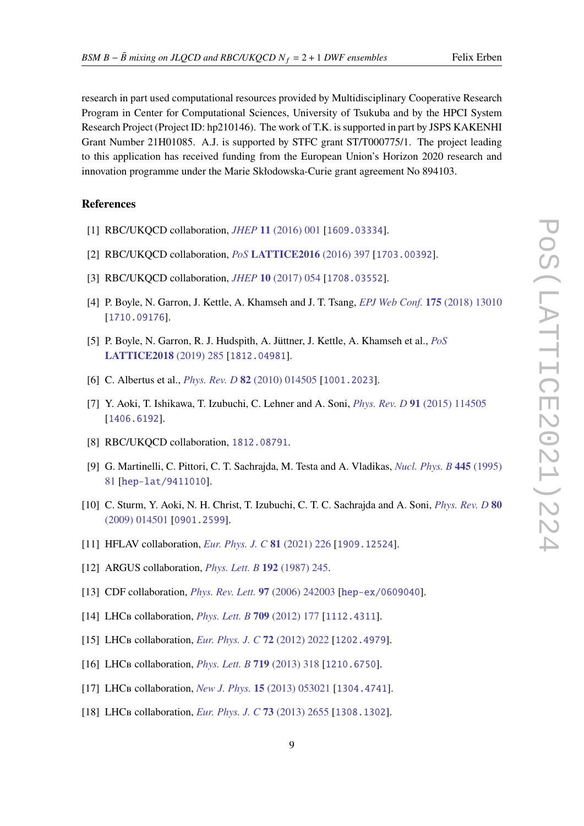research in part used computational resources provided by Multidisciplinary Cooperative Research Program in Center for Computational Sciences, University of Tsukuba and by the HPCI System Research Project (Project ID: hp210146). The work of T.K. is supported in part by JSPS KAKENHI Grant Number 21H01085. A.J. is supported by STFC grant ST/T000775/1. The project leading to this application has received funding from the European Union's Horizon 2020 research and innovation programme under the Marie Skłodowska-Curie grant agreement No 894103.

# **References**

- <span id="page-8-0"></span>[1] RBC/UKQCD collaboration, *JHEP* **11** [\(2016\) 001](https://doi.org/10.1007/JHEP11(2016)001) [[1609.03334](https://arxiv.org/abs/1609.03334)].
- [2] RBC/UKQCD collaboration, *PoS* **[LATTICE2016](https://doi.org/10.22323/1.256.0397)** (2016) 397 [[1703.00392](https://arxiv.org/abs/1703.00392)].
- <span id="page-8-9"></span>[3] RBC/UKQCD collaboration, *JHEP* **10** [\(2017\) 054](https://doi.org/10.1007/JHEP10(2017)054) [[1708.03552](https://arxiv.org/abs/1708.03552)].
- [4] P. Boyle, N. Garron, J. Kettle, A. Khamseh and J. T. Tsang, *[EPJ Web Conf.](https://doi.org/10.1051/epjconf/201817513010)* **175** (2018) 13010 [[1710.09176](https://arxiv.org/abs/1710.09176)].
- <span id="page-8-1"></span>[5] P. Boyle, N. Garron, R. J. Hudspith, A. Jüttner, J. Kettle, A. Khamseh et al., *[PoS](https://doi.org/10.22323/1.334.0285)* **[LATTICE2018](https://doi.org/10.22323/1.334.0285)** (2019) 285 [[1812.04981](https://arxiv.org/abs/1812.04981)].
- <span id="page-8-2"></span>[6] C. Albertus et al., *[Phys. Rev. D](https://doi.org/10.1103/PhysRevD.82.014505)* **82** (2010) 014505 [[1001.2023](https://arxiv.org/abs/1001.2023)].
- <span id="page-8-3"></span>[7] Y. Aoki, T. Ishikawa, T. Izubuchi, C. Lehner and A. Soni, *[Phys. Rev. D](https://doi.org/10.1103/PhysRevD.91.114505)* **91** (2015) 114505 [[1406.6192](https://arxiv.org/abs/1406.6192)].
- <span id="page-8-4"></span>[8] RBC/UKQCD collaboration, [1812.08791](https://arxiv.org/abs/1812.08791).
- <span id="page-8-5"></span>[9] G. Martinelli, C. Pittori, C. T. Sachrajda, M. Testa and A. Vladikas, *[Nucl. Phys. B](https://doi.org/10.1016/0550-3213(95)00126-D)* **445** (1995) [81](https://doi.org/10.1016/0550-3213(95)00126-D) [[hep-lat/9411010](https://arxiv.org/abs/hep-lat/9411010)].
- <span id="page-8-6"></span>[10] C. Sturm, Y. Aoki, N. H. Christ, T. Izubuchi, C. T. C. Sachrajda and A. Soni, *[Phys. Rev. D](https://doi.org/10.1103/PhysRevD.80.014501)* **80** [\(2009\) 014501](https://doi.org/10.1103/PhysRevD.80.014501) [[0901.2599](https://arxiv.org/abs/0901.2599)].
- <span id="page-8-7"></span>[11] HFLAV collaboration, *[Eur. Phys. J. C](https://doi.org/10.1140/epjc/s10052-020-8156-7)* **81** (2021) 226 [[1909.12524](https://arxiv.org/abs/1909.12524)].
- <span id="page-8-8"></span>[12] ARGUS collaboration, *[Phys. Lett. B](https://doi.org/10.1016/0370-2693(87)91177-4)* **192** (1987) 245.
- [13] CDF collaboration, *[Phys. Rev. Lett.](https://doi.org/10.1103/PhysRevLett.97.242003)* **97** (2006) 242003 [[hep-ex/0609040](https://arxiv.org/abs/hep-ex/0609040)].
- [14] LHC<sub>B</sub> collaboration, *[Phys. Lett. B](https://doi.org/10.1016/j.physletb.2012.02.031)* **709** (2012) 177 [[1112.4311](https://arxiv.org/abs/1112.4311)].
- [15] LHC<sub>B</sub> collaboration, *[Eur. Phys. J. C](https://doi.org/10.1140/epjc/s10052-012-2022-1)* 72 (2012) 2022 [[1202.4979](https://arxiv.org/abs/1202.4979)].
- [16] LHCB collaboration, *[Phys. Lett. B](https://doi.org/10.1016/j.physletb.2013.01.019)* **719** (2013) 318 [[1210.6750](https://arxiv.org/abs/1210.6750)].
- [17] LHC<sub>B</sub> collaboration, *[New J. Phys.](https://doi.org/10.1088/1367-2630/15/5/053021)* **15** (2013) 053021 [[1304.4741](https://arxiv.org/abs/1304.4741)].
- [18] LHC<sub>B</sub> collaboration, *[Eur. Phys. J. C](https://doi.org/10.1140/epjc/s10052-013-2655-8)* 73 (2013) 2655 [[1308.1302](https://arxiv.org/abs/1308.1302)].